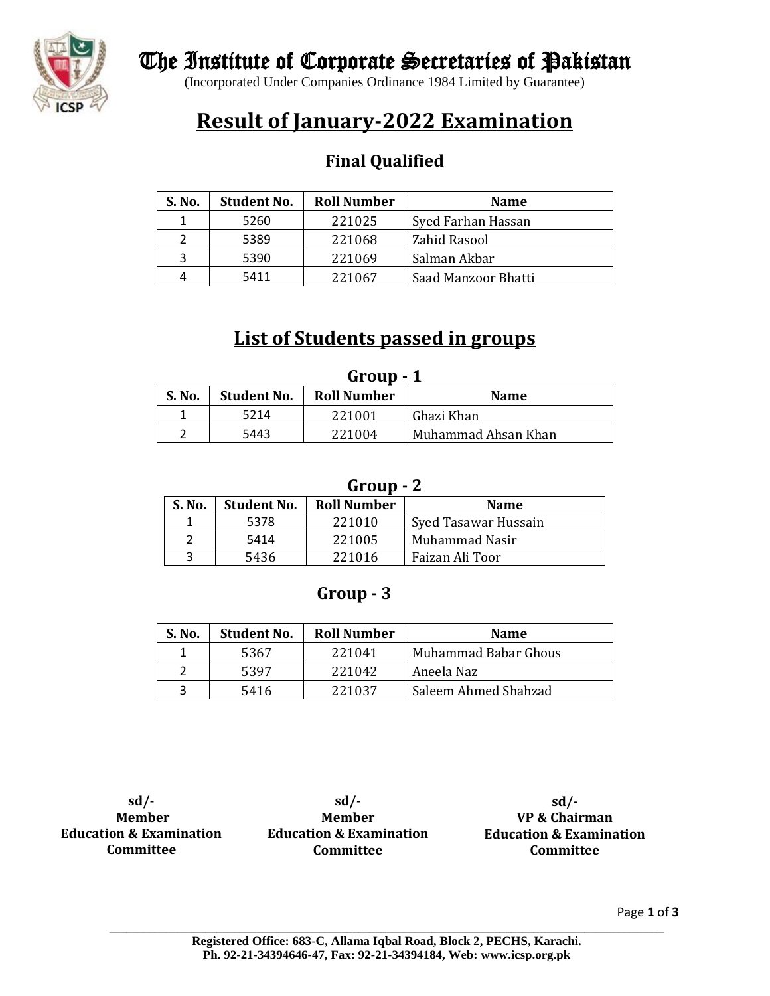

## The Institute of Corporate Secretaries of Pakistan

(Incorporated Under Companies Ordinance 1984 Limited by Guarantee)

# **Result of January-2022 Examination**

### **Final Qualified**

| S. No. | <b>Student No.</b> | <b>Roll Number</b>     | <b>Name</b>         |
|--------|--------------------|------------------------|---------------------|
|        | 5260               | 221025                 | Syed Farhan Hassan  |
|        | 5389               | 221068                 | Zahid Rasool        |
| 3      | 5390               | 221069<br>Salman Akbar |                     |
| 4      | 5411               | 221067                 | Saad Manzoor Bhatti |

### **List of Students passed in groups**

| Group - 1                                                         |      |        |                     |  |  |
|-------------------------------------------------------------------|------|--------|---------------------|--|--|
| S. No.<br><b>Roll Number</b><br><b>Student No.</b><br><b>Name</b> |      |        |                     |  |  |
|                                                                   | 5214 | 221001 | Ghazi Khan          |  |  |
|                                                                   | 5443 | 221004 | Muhammad Ahsan Khan |  |  |

#### **Group - 2**

| <b>S. No.</b> | <b>Student No.</b> | <b>Roll Number</b> | <b>Name</b>          |  |  |  |
|---------------|--------------------|--------------------|----------------------|--|--|--|
|               | 5378               | 221010             | Syed Tasawar Hussain |  |  |  |
|               | 5414               | 221005             | Muhammad Nasir       |  |  |  |
|               | 5436               | 221016             | Faizan Ali Toor      |  |  |  |

### **Group - 3**

| S. No. | <b>Student No.</b> | <b>Roll Number</b> | <b>Name</b>          |
|--------|--------------------|--------------------|----------------------|
|        | 5367               | 221041             | Muhammad Babar Ghous |
|        | 5397               | 221042             | Aneela Naz           |
| 3      | 5416               | 221037             | Saleem Ahmed Shahzad |

**sd/- Member Education & Examination Committee**

**sd/- Member Education & Examination Committee**

**sd/- VP & Chairman Education & Examination Committee**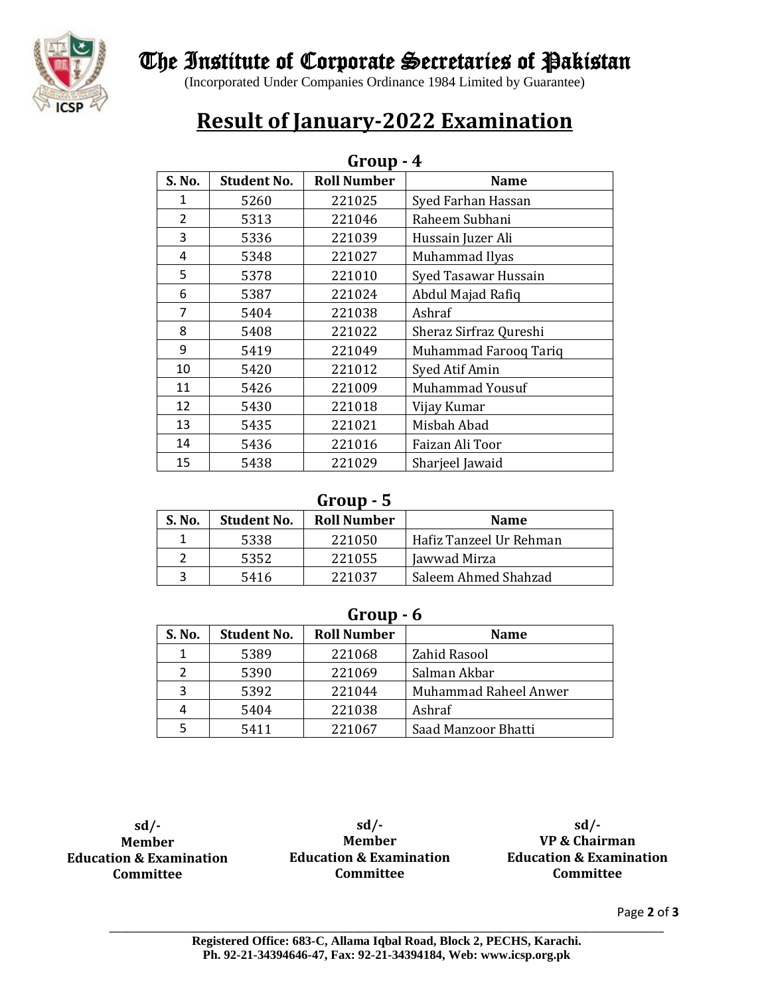

## The Institute of Corporate Secretaries of Pakistan

(Incorporated Under Companies Ordinance 1984 Limited by Guarantee)

# **Result of January-2022 Examination**

| Group<br>- 4   |                    |                    |                        |  |  |
|----------------|--------------------|--------------------|------------------------|--|--|
| S. No.         | <b>Student No.</b> | <b>Roll Number</b> | <b>Name</b>            |  |  |
| 1              | 5260               | 221025             | Syed Farhan Hassan     |  |  |
| $\overline{2}$ | 5313               | 221046             | Raheem Subhani         |  |  |
| 3              | 5336               | 221039             | Hussain Juzer Ali      |  |  |
| 4              | 5348               | 221027             | Muhammad Ilyas         |  |  |
| 5              | 5378               | 221010             | Syed Tasawar Hussain   |  |  |
| 6              | 5387               | 221024             | Abdul Majad Rafiq      |  |  |
| $\overline{7}$ | 5404               | 221038             | Ashraf                 |  |  |
| 8              | 5408               | 221022             | Sheraz Sirfraz Qureshi |  |  |
| 9              | 5419               | 221049             | Muhammad Farooq Tariq  |  |  |
| 10             | 5420               | 221012             | Syed Atif Amin         |  |  |
| 11             | 5426               | 221009             | <b>Muhammad Yousuf</b> |  |  |
| 12             | 5430               | 221018             | Vijay Kumar            |  |  |
| 13             | 5435               | 221021             | Misbah Abad            |  |  |
| 14             | 5436               | 221016             | Faizan Ali Toor        |  |  |
| 15             | 5438               | 221029             | Sharjeel Jawaid        |  |  |

### **Group - 4**

#### **Group - 5**

| S. No. | <b>Student No.</b> | <b>Roll Number</b> | <b>Name</b>             |
|--------|--------------------|--------------------|-------------------------|
|        | 5338               | 221050             | Hafiz Tanzeel Ur Rehman |
|        | 5352               | 221055             | Jawwad Mirza            |
|        | 5416               | 221037             | Saleem Ahmed Shahzad    |

#### **Group - 6**

| S. No. | <b>Student No.</b> | <b>Roll Number</b> | <b>Name</b>           |  |  |
|--------|--------------------|--------------------|-----------------------|--|--|
| 1      | 5389               | 221068             | Zahid Rasool          |  |  |
| 7      | 5390               | 221069             | Salman Akbar          |  |  |
| ς      | 5392               | 221044             | Muhammad Raheel Anwer |  |  |
| 4      | 5404               | 221038             | Ashraf                |  |  |
|        | 5411               | 221067             | Saad Manzoor Bhatti   |  |  |

**sd/- Member Education & Examination Committee**

**sd/- Member Education & Examination Committee**

**sd/- VP & Chairman Education & Examination Committee**

Page **2** of **3**